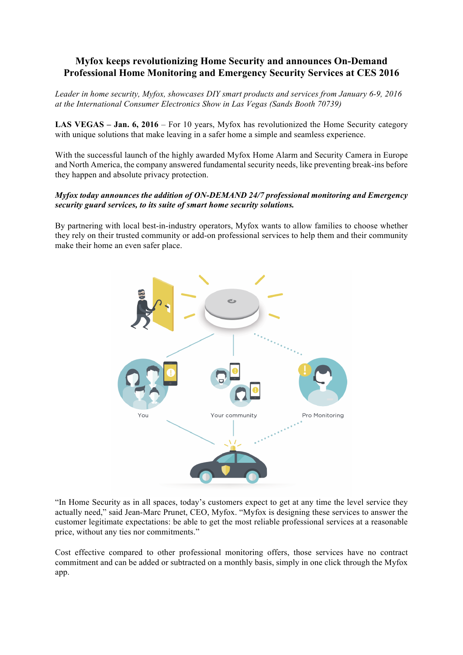## **Myfox keeps revolutionizing Home Security and announces On-Demand Professional Home Monitoring and Emergency Security Services at CES 2016**

*Leader in home security, Myfox, showcases DIY smart products and services from January 6-9, 2016 at the International Consumer Electronics Show in Las Vegas (Sands Booth 70739)*

**LAS VEGAS – Jan. 6, 2016** – For 10 years, Myfox has revolutionized the Home Security category with unique solutions that make leaving in a safer home a simple and seamless experience.

With the successful launch of the highly awarded Myfox Home Alarm and Security Camera in Europe and North America, the company answered fundamental security needs, like preventing break-ins before they happen and absolute privacy protection.

## *Myfox today announces the addition of ON-DEMAND 24/7 professional monitoring and Emergency security guard services, to its suite of smart home security solutions.*

By partnering with local best-in-industry operators, Myfox wants to allow families to choose whether they rely on their trusted community or add-on professional services to help them and their community make their home an even safer place.



"In Home Security as in all spaces, today's customers expect to get at any time the level service they actually need," said Jean-Marc Prunet, CEO, Myfox. "Myfox is designing these services to answer the customer legitimate expectations: be able to get the most reliable professional services at a reasonable price, without any ties nor commitments."

Cost effective compared to other professional monitoring offers, those services have no contract commitment and can be added or subtracted on a monthly basis, simply in one click through the Myfox app.